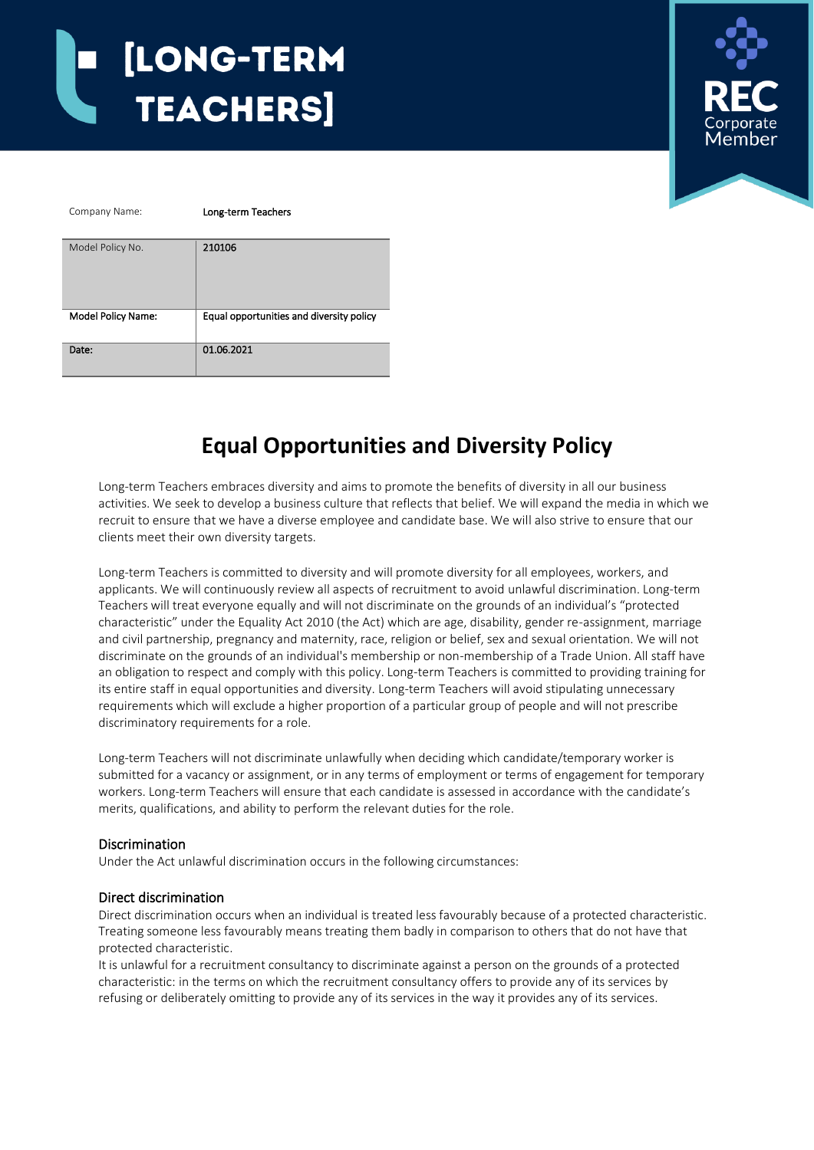

# **Equal Opportunities and Diversity Policy**

Long-term Teachers embraces diversity and aims to promote the benefits of diversity in all our business activities. We seek to develop a business culture that reflects that belief. We will expand the media in which we recruit to ensure that we have a diverse employee and candidate base. We will also strive to ensure that our clients meet their own diversity targets.

Long-term Teachers is committed to diversity and will promote diversity for all employees, workers, and applicants. We will continuously review all aspects of recruitment to avoid unlawful discrimination. Long-term Teachers will treat everyone equally and will not discriminate on the grounds of an individual's "protected characteristic" under the Equality Act 2010 (the Act) which are age, disability, gender re-assignment, marriage and civil partnership, pregnancy and maternity, race, religion or belief, sex and sexual orientation. We will not discriminate on the grounds of an individual's membership or non-membership of a Trade Union. All staff have an obligation to respect and comply with this policy. Long-term Teachers is committed to providing training for its entire staff in equal opportunities and diversity. Long-term Teachers will avoid stipulating unnecessary requirements which will exclude a higher proportion of a particular group of people and will not prescribe discriminatory requirements for a role.

Long-term Teachers will not discriminate unlawfully when deciding which candidate/temporary worker is submitted for a vacancy or assignment, or in any terms of employment or terms of engagement for temporary workers. Long-term Teachers will ensure that each candidate is assessed in accordance with the candidate's merits, qualifications, and ability to perform the relevant duties for the role.

# Discrimination

Under the Act unlawful discrimination occurs in the following circumstances:

#### Direct discrimination

Direct discrimination occurs when an individual is treated less favourably because of a protected characteristic. Treating someone less favourably means treating them badly in comparison to others that do not have that protected characteristic.

It is unlawful for a recruitment consultancy to discriminate against a person on the grounds of a protected characteristic: in the terms on which the recruitment consultancy offers to provide any of its services by refusing or deliberately omitting to provide any of its services in the way it provides any of its services.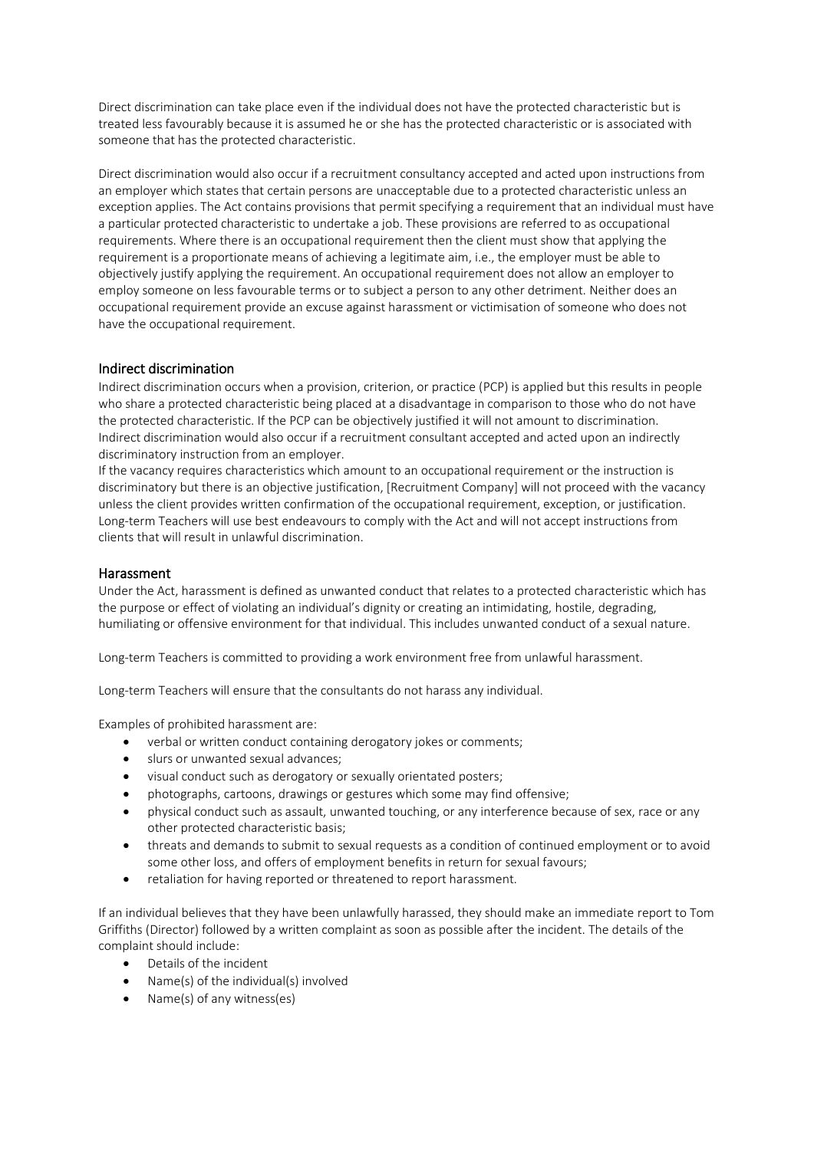Direct discrimination can take place even if the individual does not have the protected characteristic but is treated less favourably because it is assumed he or she has the protected characteristic or is associated with someone that has the protected characteristic.

Direct discrimination would also occur if a recruitment consultancy accepted and acted upon instructions from an employer which states that certain persons are unacceptable due to a protected characteristic unless an exception applies. The Act contains provisions that permit specifying a requirement that an individual must have a particular protected characteristic to undertake a job. These provisions are referred to as occupational requirements. Where there is an occupational requirement then the client must show that applying the requirement is a proportionate means of achieving a legitimate aim, i.e., the employer must be able to objectively justify applying the requirement. An occupational requirement does not allow an employer to employ someone on less favourable terms or to subject a person to any other detriment. Neither does an occupational requirement provide an excuse against harassment or victimisation of someone who does not have the occupational requirement.

# Indirect discrimination

Indirect discrimination occurs when a provision, criterion, or practice (PCP) is applied but this results in people who share a protected characteristic being placed at a disadvantage in comparison to those who do not have the protected characteristic. If the PCP can be objectively justified it will not amount to discrimination. Indirect discrimination would also occur if a recruitment consultant accepted and acted upon an indirectly discriminatory instruction from an employer.

If the vacancy requires characteristics which amount to an occupational requirement or the instruction is discriminatory but there is an objective justification, [Recruitment Company] will not proceed with the vacancy unless the client provides written confirmation of the occupational requirement, exception, or justification. Long-term Teachers will use best endeavours to comply with the Act and will not accept instructions from clients that will result in unlawful discrimination.

#### **Harassment**

Under the Act, harassment is defined as unwanted conduct that relates to a protected characteristic which has the purpose or effect of violating an individual's dignity or creating an intimidating, hostile, degrading, humiliating or offensive environment for that individual. This includes unwanted conduct of a sexual nature.

Long-term Teachers is committed to providing a work environment free from unlawful harassment.

Long-term Teachers will ensure that the consultants do not harass any individual.

Examples of prohibited harassment are:

- verbal or written conduct containing derogatory jokes or comments;
- slurs or unwanted sexual advances;
- visual conduct such as derogatory or sexually orientated posters;
- photographs, cartoons, drawings or gestures which some may find offensive;
- physical conduct such as assault, unwanted touching, or any interference because of sex, race or any other protected characteristic basis;
- threats and demands to submit to sexual requests as a condition of continued employment or to avoid some other loss, and offers of employment benefits in return for sexual favours;
- retaliation for having reported or threatened to report harassment.

If an individual believes that they have been unlawfully harassed, they should make an immediate report to Tom Griffiths (Director) followed by a written complaint as soon as possible after the incident. The details of the complaint should include:

- Details of the incident
- Name(s) of the individual(s) involved
- Name(s) of any witness(es)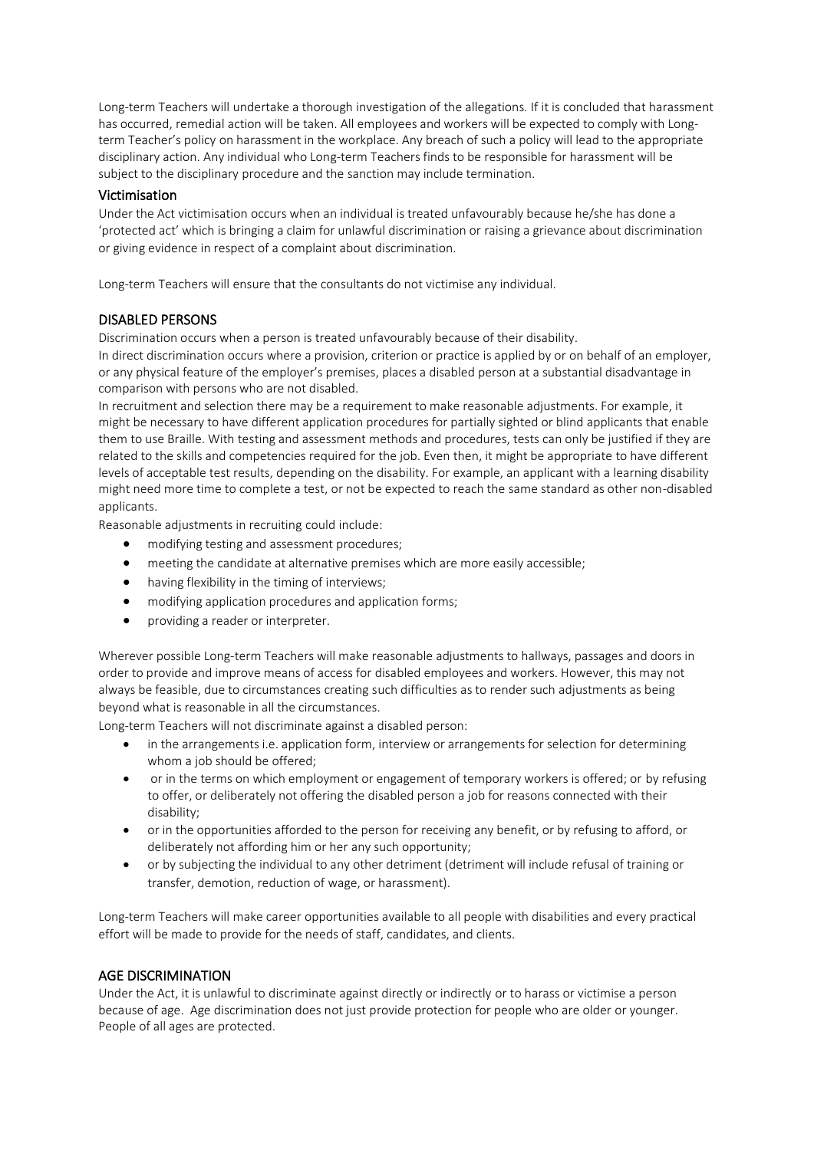Long-term Teachers will undertake a thorough investigation of the allegations. If it is concluded that harassment has occurred, remedial action will be taken. All employees and workers will be expected to comply with Longterm Teacher's policy on harassment in the workplace. Any breach of such a policy will lead to the appropriate disciplinary action. Any individual who Long-term Teachers finds to be responsible for harassment will be subject to the disciplinary procedure and the sanction may include termination.

### Victimisation

Under the Act victimisation occurs when an individual is treated unfavourably because he/she has done a 'protected act' which is bringing a claim for unlawful discrimination or raising a grievance about discrimination or giving evidence in respect of a complaint about discrimination.

Long-term Teachers will ensure that the consultants do not victimise any individual.

#### DISABLED PERSONS

Discrimination occurs when a person is treated unfavourably because of their disability.

In direct discrimination occurs where a provision, criterion or practice is applied by or on behalf of an employer, or any physical feature of the employer's premises, places a disabled person at a substantial disadvantage in comparison with persons who are not disabled.

In recruitment and selection there may be a requirement to make reasonable adjustments. For example, it might be necessary to have different application procedures for partially sighted or blind applicants that enable them to use Braille. With testing and assessment methods and procedures, tests can only be justified if they are related to the skills and competencies required for the job. Even then, it might be appropriate to have different levels of acceptable test results, depending on the disability. For example, an applicant with a learning disability might need more time to complete a test, or not be expected to reach the same standard as other non-disabled applicants.

Reasonable adjustments in recruiting could include:

- modifying testing and assessment procedures;
- meeting the candidate at alternative premises which are more easily accessible;
- having flexibility in the timing of interviews;
- modifying application procedures and application forms;
- providing a reader or interpreter.

Wherever possible Long-term Teachers will make reasonable adjustments to hallways, passages and doors in order to provide and improve means of access for disabled employees and workers. However, this may not always be feasible, due to circumstances creating such difficulties as to render such adjustments as being beyond what is reasonable in all the circumstances.

Long-term Teachers will not discriminate against a disabled person:

- in the arrangements i.e. application form, interview or arrangements for selection for determining whom a job should be offered;
- or in the terms on which employment or engagement of temporary workers is offered; or by refusing to offer, or deliberately not offering the disabled person a job for reasons connected with their disability;
- or in the opportunities afforded to the person for receiving any benefit, or by refusing to afford, or deliberately not affording him or her any such opportunity;
- or by subjecting the individual to any other detriment (detriment will include refusal of training or transfer, demotion, reduction of wage, or harassment).

Long-term Teachers will make career opportunities available to all people with disabilities and every practical effort will be made to provide for the needs of staff, candidates, and clients.

# AGE DISCRIMINATION

Under the Act, it is unlawful to discriminate against directly or indirectly or to harass or victimise a person because of age. Age discrimination does not just provide protection for people who are older or younger. People of all ages are protected.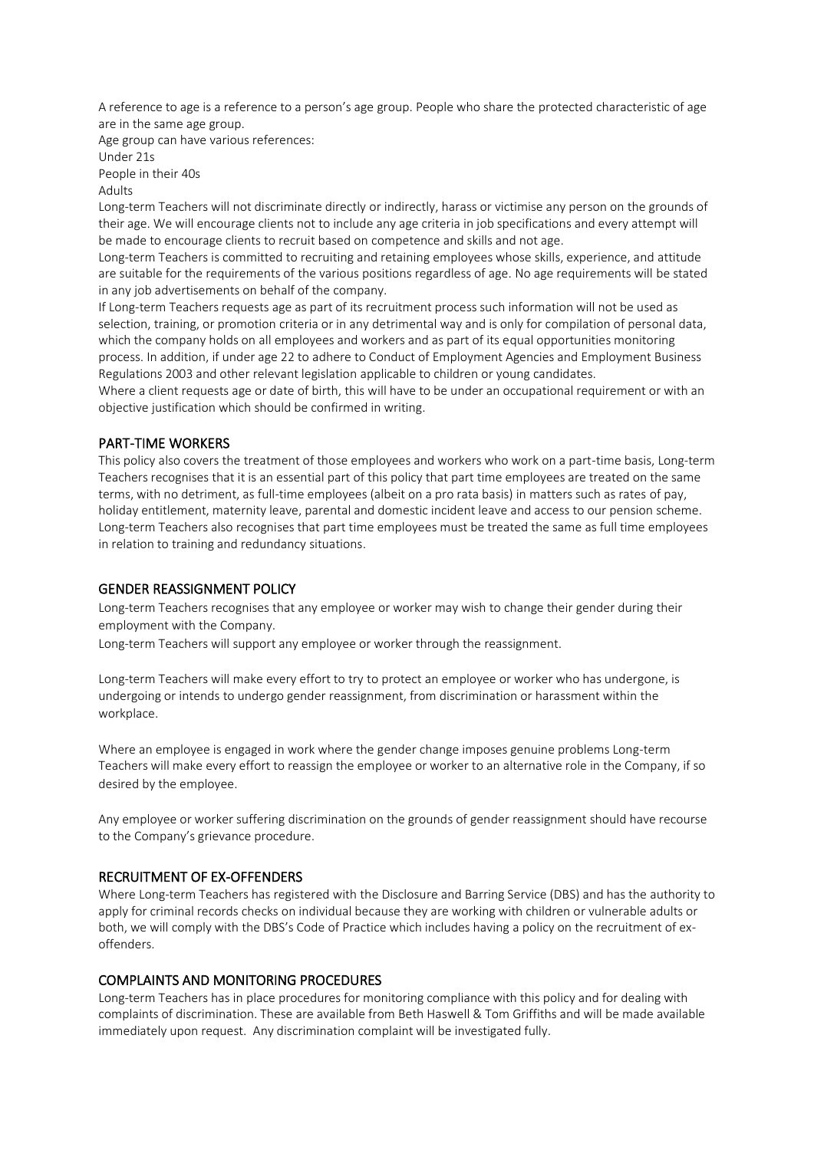A reference to age is a reference to a person's age group. People who share the protected characteristic of age are in the same age group.

Age group can have various references:

Under 21s

People in their 40s Adults

Long-term Teachers will not discriminate directly or indirectly, harass or victimise any person on the grounds of their age. We will encourage clients not to include any age criteria in job specifications and every attempt will be made to encourage clients to recruit based on competence and skills and not age.

Long-term Teachers is committed to recruiting and retaining employees whose skills, experience, and attitude are suitable for the requirements of the various positions regardless of age. No age requirements will be stated in any job advertisements on behalf of the company.

If Long-term Teachers requests age as part of its recruitment process such information will not be used as selection, training, or promotion criteria or in any detrimental way and is only for compilation of personal data, which the company holds on all employees and workers and as part of its equal opportunities monitoring process. In addition, if under age 22 to adhere to Conduct of Employment Agencies and Employment Business Regulations 2003 and other relevant legislation applicable to children or young candidates.

Where a client requests age or date of birth, this will have to be under an occupational requirement or with an objective justification which should be confirmed in writing.

# PART-TIME WORKERS

This policy also covers the treatment of those employees and workers who work on a part-time basis, Long-term Teachers recognises that it is an essential part of this policy that part time employees are treated on the same terms, with no detriment, as full-time employees (albeit on a pro rata basis) in matters such as rates of pay, holiday entitlement, maternity leave, parental and domestic incident leave and access to our pension scheme. Long-term Teachers also recognises that part time employees must be treated the same as full time employees in relation to training and redundancy situations.

# GENDER REASSIGNMENT POLICY

Long-term Teachers recognises that any employee or worker may wish to change their gender during their employment with the Company.

Long-term Teachers will support any employee or worker through the reassignment.

Long-term Teachers will make every effort to try to protect an employee or worker who has undergone, is undergoing or intends to undergo gender reassignment, from discrimination or harassment within the workplace.

Where an employee is engaged in work where the gender change imposes genuine problems Long-term Teachers will make every effort to reassign the employee or worker to an alternative role in the Company, if so desired by the employee.

Any employee or worker suffering discrimination on the grounds of gender reassignment should have recourse to the Company's grievance procedure.

# RECRUITMENT OF EX-OFFENDERS

Where Long-term Teachers has registered with the Disclosure and Barring Service (DBS) and has the authority to apply for criminal records checks on individual because they are working with children or vulnerable adults or both, we will comply with the DBS's Code of Practice which includes having a policy on the recruitment of exoffenders.

# COMPLAINTS AND MONITORING PROCEDURES

Long-term Teachers has in place procedures for monitoring compliance with this policy and for dealing with complaints of discrimination. These are available from Beth Haswell & Tom Griffiths and will be made available immediately upon request. Any discrimination complaint will be investigated fully.